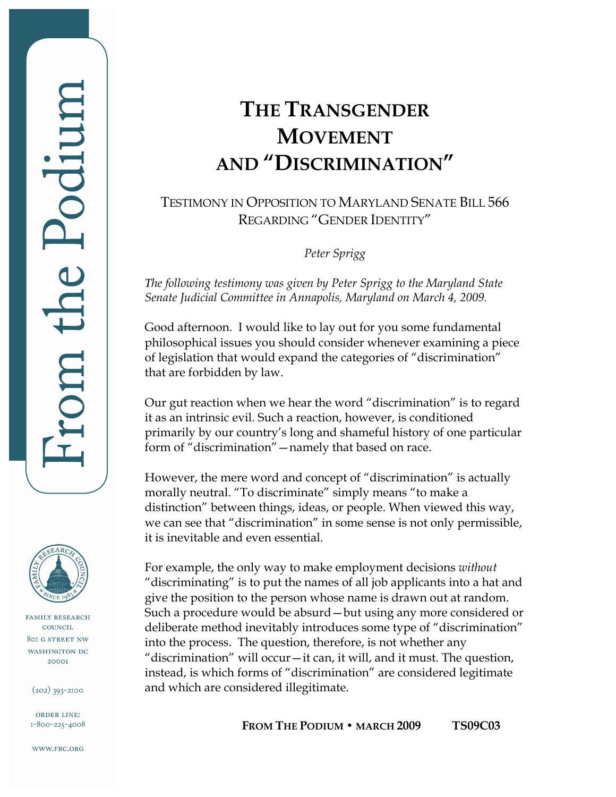**FAMILY RESEARCH** COUNCIL **801 G STREET NW** WASHINGTON DC **2000I** 

 $(202)$  393-2100

ORDER LINE: 1-800-225-4008

WWW.FRC.ORG

## **THE TRANSGENDER MOVEMENT AND "DISCRIMINATION"**

## TESTIMONY IN OPPOSITION TO MARYLAND SENATE BILL 566 REGARDING "GENDER IDENTITY"

*Peter Sprigg* 

*The following testimony was given by Peter Sprigg to the Maryland State Senate Judicial Committee in Annapolis, Maryland on March 4, 2009.* 

Good afternoon. I would like to lay out for you some fundamental philosophical issues you should consider whenever examining a piece of legislation that would expand the categories of "discrimination" that are forbidden by law.

Our gut reaction when we hear the word "discrimination" is to regard it as an intrinsic evil. Such a reaction, however, is conditioned primarily by our country's long and shameful history of one particular form of "discrimination"—namely that based on race.

However, the mere word and concept of "discrimination" is actually morally neutral. "To discriminate" simply means "to make a distinction" between things, ideas, or people. When viewed this way, we can see that "discrimination" in some sense is not only permissible, it is inevitable and even essential.

For example, the only way to make employment decisions *without*  "discriminating" is to put the names of all job applicants into a hat and give the position to the person whose name is drawn out at random. Such a procedure would be absurd—but using any more considered or deliberate method inevitably introduces some type of "discrimination" into the process. The question, therefore, is not whether any "discrimination" will occur—it can, it will, and it must. The question, instead, is which forms of "discrimination" are considered legitimate and which are considered illegitimate.